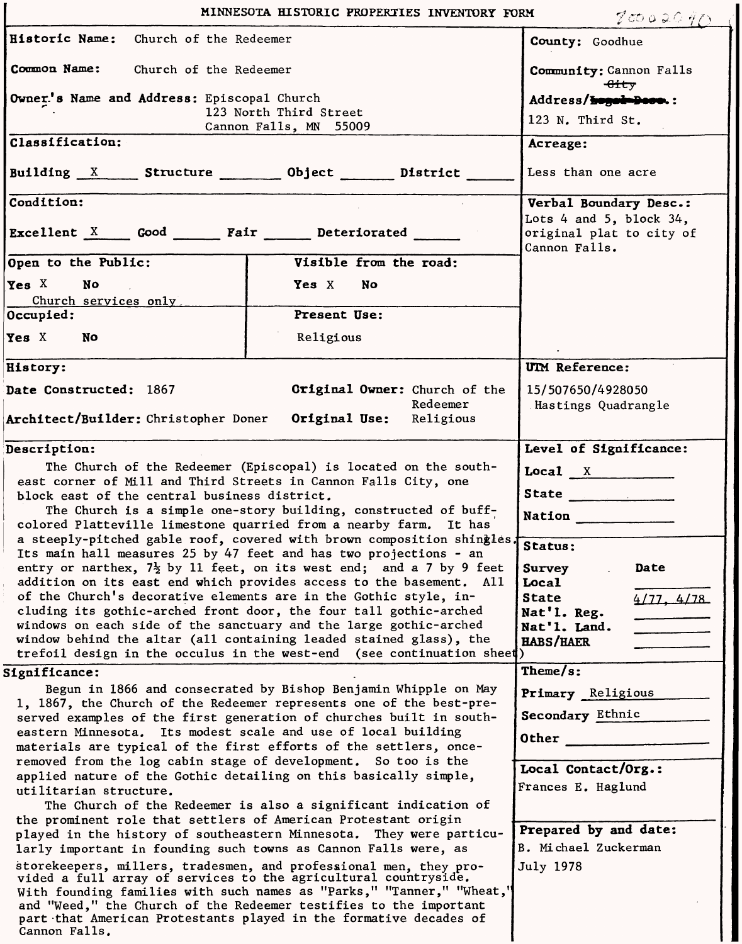| MINNESOTA HISTORIC PROPERTIES INVENTORY FORM<br>70002040                                                                                                                                                                                                                                                                                                                                                                                                                                                                                                                                                                                                                                                                                                                                                                                                                                                                                                                                                                  |                                                                                |                                                                                                                                                                                                                            |
|---------------------------------------------------------------------------------------------------------------------------------------------------------------------------------------------------------------------------------------------------------------------------------------------------------------------------------------------------------------------------------------------------------------------------------------------------------------------------------------------------------------------------------------------------------------------------------------------------------------------------------------------------------------------------------------------------------------------------------------------------------------------------------------------------------------------------------------------------------------------------------------------------------------------------------------------------------------------------------------------------------------------------|--------------------------------------------------------------------------------|----------------------------------------------------------------------------------------------------------------------------------------------------------------------------------------------------------------------------|
| Historic Name:<br>Church of the Redeemer                                                                                                                                                                                                                                                                                                                                                                                                                                                                                                                                                                                                                                                                                                                                                                                                                                                                                                                                                                                  |                                                                                | County: Goodhue                                                                                                                                                                                                            |
| Common Name:<br>Church of the Redeemer                                                                                                                                                                                                                                                                                                                                                                                                                                                                                                                                                                                                                                                                                                                                                                                                                                                                                                                                                                                    |                                                                                | Community: Cannon Falls<br><del>Gity</del>                                                                                                                                                                                 |
| Owner's Name and Address: Episcopal Church<br>123 North Third Street<br>Cannon Falls, MN 55009                                                                                                                                                                                                                                                                                                                                                                                                                                                                                                                                                                                                                                                                                                                                                                                                                                                                                                                            |                                                                                | Address/ <del>hogad=Dooo</del> .:<br>123 N. Third St.                                                                                                                                                                      |
| Classification:                                                                                                                                                                                                                                                                                                                                                                                                                                                                                                                                                                                                                                                                                                                                                                                                                                                                                                                                                                                                           |                                                                                | Acreage:                                                                                                                                                                                                                   |
|                                                                                                                                                                                                                                                                                                                                                                                                                                                                                                                                                                                                                                                                                                                                                                                                                                                                                                                                                                                                                           | Building X Structure Discolong Object District                                 | Less than one acre                                                                                                                                                                                                         |
| Condition:                                                                                                                                                                                                                                                                                                                                                                                                                                                                                                                                                                                                                                                                                                                                                                                                                                                                                                                                                                                                                |                                                                                | Verbal Boundary Desc.:                                                                                                                                                                                                     |
| Excellent X Good Fair Deteriorated                                                                                                                                                                                                                                                                                                                                                                                                                                                                                                                                                                                                                                                                                                                                                                                                                                                                                                                                                                                        |                                                                                | Lots $4$ and $5$ , block $34$ ,<br>original plat to city of<br>Cannon Falls.                                                                                                                                               |
| Open to the Public:                                                                                                                                                                                                                                                                                                                                                                                                                                                                                                                                                                                                                                                                                                                                                                                                                                                                                                                                                                                                       | Visible from the road:                                                         |                                                                                                                                                                                                                            |
| $\gamma$ es X<br>No<br>Church services only                                                                                                                                                                                                                                                                                                                                                                                                                                                                                                                                                                                                                                                                                                                                                                                                                                                                                                                                                                               | Yes X No                                                                       |                                                                                                                                                                                                                            |
| Occupied:                                                                                                                                                                                                                                                                                                                                                                                                                                                                                                                                                                                                                                                                                                                                                                                                                                                                                                                                                                                                                 | Present Use:                                                                   |                                                                                                                                                                                                                            |
| Yes X<br>No                                                                                                                                                                                                                                                                                                                                                                                                                                                                                                                                                                                                                                                                                                                                                                                                                                                                                                                                                                                                               | Religious                                                                      |                                                                                                                                                                                                                            |
| History:                                                                                                                                                                                                                                                                                                                                                                                                                                                                                                                                                                                                                                                                                                                                                                                                                                                                                                                                                                                                                  |                                                                                | UIM Reference:                                                                                                                                                                                                             |
| Date Constructed: 1867<br>Architect/Builder: Christopher Doner                                                                                                                                                                                                                                                                                                                                                                                                                                                                                                                                                                                                                                                                                                                                                                                                                                                                                                                                                            | <b>Original Owner:</b> Church of the<br>Redeemer<br>Original Use:<br>Religious | 15/507650/4928050<br>Hastings Quadrangle                                                                                                                                                                                   |
|                                                                                                                                                                                                                                                                                                                                                                                                                                                                                                                                                                                                                                                                                                                                                                                                                                                                                                                                                                                                                           |                                                                                |                                                                                                                                                                                                                            |
| Description:<br>The Church of the Redeemer (Episcopal) is located on the south-<br>east corner of Mill and Third Streets in Cannon Falls City, one<br>block east of the central business district.<br>The Church is a simple one-story building, constructed of buff-<br>colored Platteville limestone quarried from a nearby farm. It has<br>a steeply-pitched gable roof, covered with brown composition shingles. Status:<br>Its main hall measures 25 by 47 feet and has two projections - an<br>entry or narthex, $7\frac{1}{2}$ by 11 feet, on its west end; and a 7 by 9 feet<br>addition on its east end which provides access to the basement. All<br>of the Church's decorative elements are in the Gothic style, in-<br>cluding its gothic-arched front door, the four tall gothic-arched<br>windows on each side of the sanctuary and the large gothic-arched<br>window behind the altar (all containing leaded stained glass), the<br>trefoil design in the occulus in the west-end (see continuation sheet) |                                                                                | Level of Significance:<br>Local $X$<br>State ____________<br>Nation <u>and the second of the second second</u><br>Date<br>Survey<br>Local<br><b>State</b><br>4/77, 4/78<br>Nat'l. Reg.<br>Nat'l. Land.<br><b>HABS/HAER</b> |
| Significance:                                                                                                                                                                                                                                                                                                                                                                                                                                                                                                                                                                                                                                                                                                                                                                                                                                                                                                                                                                                                             |                                                                                | $Then \epsilon is:$                                                                                                                                                                                                        |
| Begun in 1866 and consecrated by Bishop Benjamin Whipple on May<br>1, 1867, the Church of the Redeemer represents one of the best-pre-<br>served examples of the first generation of churches built in south-<br>eastern Minnesota. Its modest scale and use of local building<br>materials are typical of the first efforts of the settlers, once-                                                                                                                                                                                                                                                                                                                                                                                                                                                                                                                                                                                                                                                                       |                                                                                | Primary Religious<br>Secondary Ethnic<br>Other                                                                                                                                                                             |
| removed from the log cabin stage of development. So too is the<br>applied nature of the Gothic detailing on this basically simple,<br>utilitarian structure.<br>The Church of the Redeemer is also a significant indication of<br>the prominent role that settlers of American Protestant origin                                                                                                                                                                                                                                                                                                                                                                                                                                                                                                                                                                                                                                                                                                                          |                                                                                | Local Contact/Org.:<br>Frances E. Haglund                                                                                                                                                                                  |
| Prepared by and date:<br>played in the history of southeastern Minnesota. They were particu-<br>B. Michael Zuckerman<br>larly important in founding such towns as Cannon Falls were, as<br>storekeepers, millers, tradesmen, and professional men, they pro-<br>July 1978<br>vided a full array of services to the agricultural countryside.<br>With founding families with such names as "Parks," "Tanner," "Wheat,"<br>and "Weed," the Church of the Redeemer testifies to the important<br>part that American Protestants played in the formative decades of<br>Cannon Falls.                                                                                                                                                                                                                                                                                                                                                                                                                                          |                                                                                |                                                                                                                                                                                                                            |

Ī